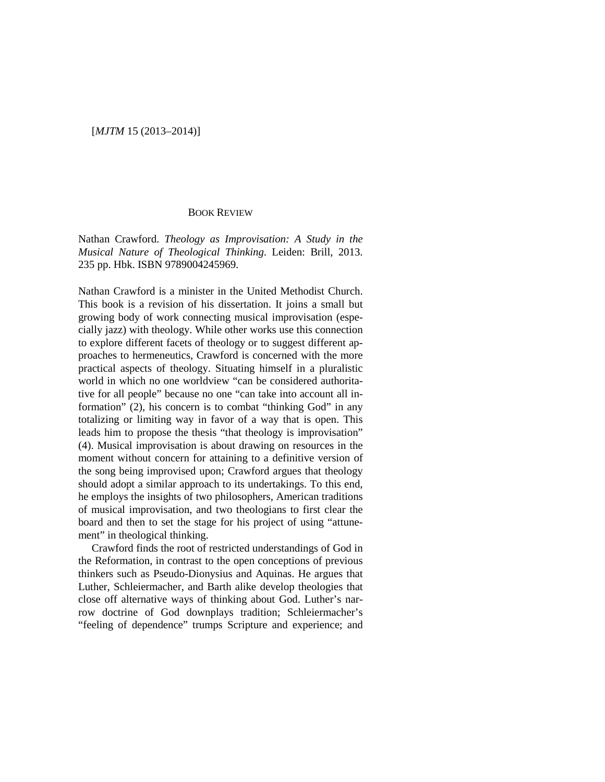## [*MJTM* 15 (2013–2014)]

## BOOK REVIEW

Nathan Crawford. *Theology as Improvisation: A Study in the Musical Nature of Theological Thinking*. Leiden: Brill, 2013. 235 pp. Hbk. ISBN 9789004245969.

Nathan Crawford is a minister in the United Methodist Church. This book is a revision of his dissertation. It joins a small but growing body of work connecting musical improvisation (especially jazz) with theology. While other works use this connection to explore different facets of theology or to suggest different approaches to hermeneutics, Crawford is concerned with the more practical aspects of theology. Situating himself in a pluralistic world in which no one worldview "can be considered authoritative for all people" because no one "can take into account all information" (2), his concern is to combat "thinking God" in any totalizing or limiting way in favor of a way that is open. This leads him to propose the thesis "that theology is improvisation" (4). Musical improvisation is about drawing on resources in the moment without concern for attaining to a definitive version of the song being improvised upon; Crawford argues that theology should adopt a similar approach to its undertakings. To this end, he employs the insights of two philosophers, American traditions of musical improvisation, and two theologians to first clear the board and then to set the stage for his project of using "attunement" in theological thinking.

Crawford finds the root of restricted understandings of God in the Reformation, in contrast to the open conceptions of previous thinkers such as Pseudo-Dionysius and Aquinas. He argues that Luther, Schleiermacher, and Barth alike develop theologies that close off alternative ways of thinking about God. Luther's narrow doctrine of God downplays tradition; Schleiermacher's "feeling of dependence" trumps Scripture and experience; and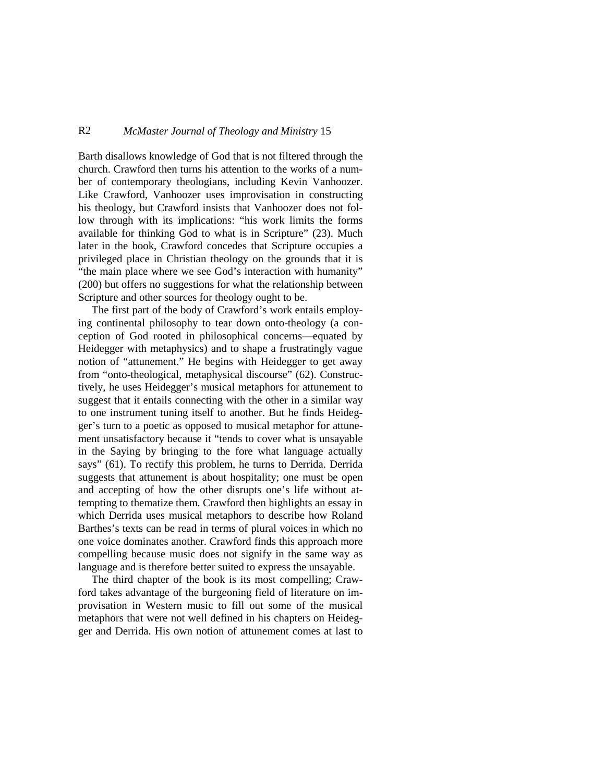## R2 *McMaster Journal of Theology and Ministry* 15

Barth disallows knowledge of God that is not filtered through the church. Crawford then turns his attention to the works of a number of contemporary theologians, including Kevin Vanhoozer. Like Crawford, Vanhoozer uses improvisation in constructing his theology, but Crawford insists that Vanhoozer does not follow through with its implications: "his work limits the forms available for thinking God to what is in Scripture" (23). Much later in the book, Crawford concedes that Scripture occupies a privileged place in Christian theology on the grounds that it is "the main place where we see God's interaction with humanity" (200) but offers no suggestions for what the relationship between Scripture and other sources for theology ought to be.

The first part of the body of Crawford's work entails employing continental philosophy to tear down onto-theology (a conception of God rooted in philosophical concerns—equated by Heidegger with metaphysics) and to shape a frustratingly vague notion of "attunement." He begins with Heidegger to get away from "onto-theological, metaphysical discourse" (62). Constructively, he uses Heidegger's musical metaphors for attunement to suggest that it entails connecting with the other in a similar way to one instrument tuning itself to another. But he finds Heidegger's turn to a poetic as opposed to musical metaphor for attunement unsatisfactory because it "tends to cover what is unsayable in the Saying by bringing to the fore what language actually says" (61). To rectify this problem, he turns to Derrida. Derrida suggests that attunement is about hospitality; one must be open and accepting of how the other disrupts one's life without attempting to thematize them. Crawford then highlights an essay in which Derrida uses musical metaphors to describe how Roland Barthes's texts can be read in terms of plural voices in which no one voice dominates another. Crawford finds this approach more compelling because music does not signify in the same way as language and is therefore better suited to express the unsayable.

The third chapter of the book is its most compelling; Crawford takes advantage of the burgeoning field of literature on improvisation in Western music to fill out some of the musical metaphors that were not well defined in his chapters on Heidegger and Derrida. His own notion of attunement comes at last to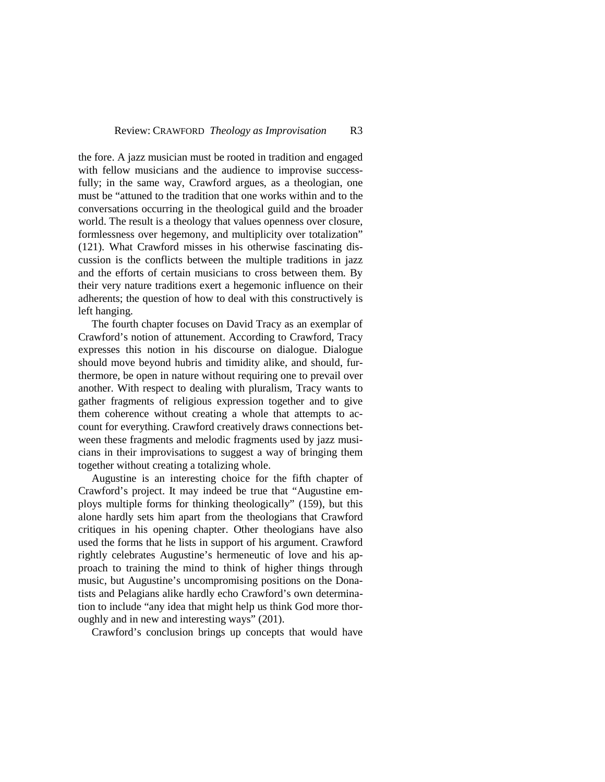the fore. A jazz musician must be rooted in tradition and engaged with fellow musicians and the audience to improvise successfully; in the same way, Crawford argues, as a theologian, one must be "attuned to the tradition that one works within and to the conversations occurring in the theological guild and the broader world. The result is a theology that values openness over closure, formlessness over hegemony, and multiplicity over totalization" (121). What Crawford misses in his otherwise fascinating discussion is the conflicts between the multiple traditions in jazz and the efforts of certain musicians to cross between them. By their very nature traditions exert a hegemonic influence on their adherents; the question of how to deal with this constructively is left hanging.

The fourth chapter focuses on David Tracy as an exemplar of Crawford's notion of attunement. According to Crawford, Tracy expresses this notion in his discourse on dialogue. Dialogue should move beyond hubris and timidity alike, and should, furthermore, be open in nature without requiring one to prevail over another. With respect to dealing with pluralism, Tracy wants to gather fragments of religious expression together and to give them coherence without creating a whole that attempts to account for everything. Crawford creatively draws connections between these fragments and melodic fragments used by jazz musicians in their improvisations to suggest a way of bringing them together without creating a totalizing whole.

Augustine is an interesting choice for the fifth chapter of Crawford's project. It may indeed be true that "Augustine employs multiple forms for thinking theologically" (159), but this alone hardly sets him apart from the theologians that Crawford critiques in his opening chapter. Other theologians have also used the forms that he lists in support of his argument. Crawford rightly celebrates Augustine's hermeneutic of love and his approach to training the mind to think of higher things through music, but Augustine's uncompromising positions on the Donatists and Pelagians alike hardly echo Crawford's own determination to include "any idea that might help us think God more thoroughly and in new and interesting ways" (201).

Crawford's conclusion brings up concepts that would have